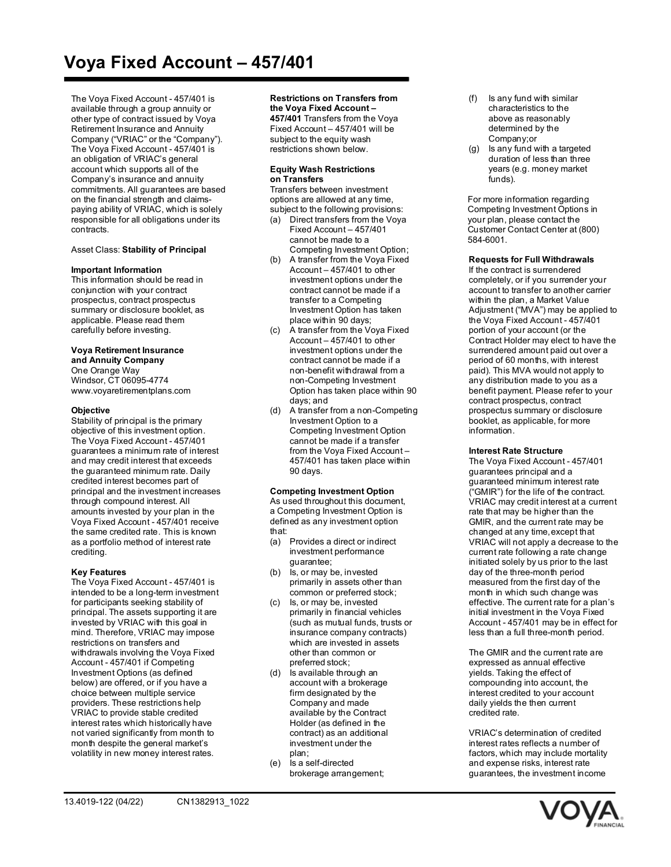# **Voya Fixed Account – 457/401**

The Voya Fixed Account - 457/401 is available through a group annuity or other type of contract issued by Voya Retirement Insurance and Annuity Company ("VRIAC" or the "Company"). The Voya Fixed Account - 457/401 is an obligation of VRIAC's general account which supports all of the Company's insurance and annuity commitments. All guarantees are based on the financial strength and claimspaying ability of VRIAC, which is solely responsible for all obligations under its contracts.

## Asset Class: **Stability of Principal**

### **Important Information**

This information should be read in conjunction with your contract prospectus, contract prospectus summary or disclosure booklet, as applicable. Please read them carefully before investing.

## **Voya Retirement Insurance**

**and Annuity Company** One Orange Way Windsor, CT 06095-4774 [www.voyaretirementplans.com](http://www.voyaretirementplans.com/)

## **Objective**

Stability of principal is the primary objective of this investment option. The Voya Fixed Account - 457/401 guarantees a minimum rate of interest and may credit interest that exceeds the guaranteed minimum rate. Daily credited interest becomes part of principal and the investment increases through compound interest. All amounts invested by your plan in the Voya Fixed Account - 457/401 receive the same credited rate. This is known as a portfolio method of interest rate crediting.

## **Key Features**

The Voya Fixed Account - 457/401 is intended to be a long-term investment for participants seeking stability of principal. The assets supporting it are invested by VRIAC with this goal in mind. Therefore, VRIAC may impose restrictions on transfers and withdrawals involving the Voya Fixed Account - 457/401 if Competing Investment Options (as defined below) are offered, or if you have a choice between multiple service providers. These restrictions help VRIAC to provide stable credited interest rates which historically have not varied significantly from month to month despite the general market's volatility in new money interest rates.

## **Restrictions on Transfers from**

**the Voya Fixed Account – 457/401** Transfers from the Voya Fixed Account – 457/401 will be subject to the equity wash restrictions shown below.

#### **Equity Wash Restrictions on Transfers**

Transfers between investment options are allowed at any time, subject to the following provisions:

- (a) Direct transfers from the Voya Fixed Account – 457/401 cannot be made to a Competing Investment Option;
- (b) A transfer from the Voya Fixed Account – 457/401 to other investment options under the contract cannot be made if a transfer to a Competing Investment Option has taken place within 90 days;
- (c) A transfer from the Voya Fixed Account – 457/401 to other investment options under the contract cannot be made if a non-benefit withdrawal from a non-Competing Investment Option has taken place within 90 days; and
- (d) A transfer from a non-Competing Investment Option to a Competing Investment Option cannot be made if a transfer from the Voya Fixed Account – 457/401 has taken place within 90 days.

### **Competing Investment Option**

As used throughout this document, a Competing Investment Option is defined as any investment option that:

- (a) Provides a direct or indirect investment performance guarantee;
- (b) Is, or may be, invested primarily in assets other than common or preferred stock;
- (c) Is, or may be, invested primarily in financial vehicles (such as mutual funds, trusts or insurance company contracts) which are invested in assets other than common or preferred stock;
- (d) Is available through an account with a brokerage firm designated by the Company and made available by the Contract Holder (as defined in the contract) as an additional investment under the plan;
- (e) Is a self-directed brokerage arrangement;
- (f) Is any fund with similar characteristics to the above as reasonably determined by the Company;or
- (g) Is any fund with a targeted duration of less than three years (e.g. money market funds)

For more information regarding Competing Investment Options in your plan, please contact the Customer Contact Center at (800) 584-6001.

## **Requests for Full Withdrawals**

If the contract is surrendered completely, or if you surrender your account to transfer to another carrier within the plan, a Market Value Adjustment ("MVA") may be applied to the Voya Fixed Account - 457/401 portion of your account (or the Contract Holder may elect to have the surrendered amount paid out over a period of 60 months, with interest paid). This MVA would not apply to any distribution made to you as a benefit payment. Please refer to your contract prospectus, contract prospectus summary or disclosure booklet, as applicable, for more information.

### **Interest Rate Structure**

The Voya Fixed Account - 457/401 guarantees principal and a guaranteed minimum interest rate ("GMIR") for the life of the contract. VRIAC may credit interest at a current rate that may be higher than the GMIR, and the current rate may be changed at any time,except that VRIAC will not apply a decrease to the current rate following a rate change initiated solely by us prior to the last day of the three-month period measured from the first day of the month in which such change was effective. The current rate for a plan's initial investment in the Voya Fixed Account - 457/401 may be in effect for less than a full three-month period.

The GMIR and the current rate are expressed as annual effective yields. Taking the effect of compounding into account, the interest credited to your account daily yields the then current credited rate.

VRIAC's determination of credited interest rates reflects a number of factors, which may include mortality and expense risks, interest rate guarantees, the investment income